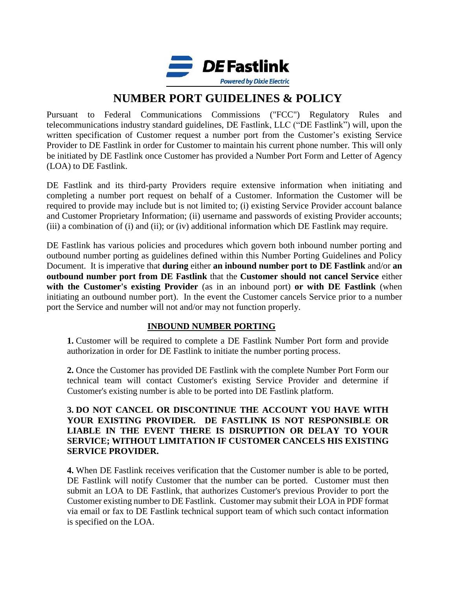

Pursuant to Federal Communications Commissions ("FCC") Regulatory Rules and telecommunications industry standard guidelines, DE Fastlink, LLC ("DE Fastlink") will, upon the written specification of Customer request a number port from the Customer's existing Service Provider to DE Fastlink in order for Customer to maintain his current phone number. This will only be initiated by DE Fastlink once Customer has provided a Number Port Form and Letter of Agency (LOA) to DE Fastlink.

DE Fastlink and its third-party Providers require extensive information when initiating and completing a number port request on behalf of a Customer. Information the Customer will be required to provide may include but is not limited to; (i) existing Service Provider account balance and Customer Proprietary Information; (ii) username and passwords of existing Provider accounts; (iii) a combination of (i) and (ii); or (iv) additional information which DE Fastlink may require.

DE Fastlink has various policies and procedures which govern both inbound number porting and outbound number porting as guidelines defined within this Number Porting Guidelines and Policy Document. It is imperative that **during** either **an inbound number port to DE Fastlink** and/or **an outbound number port from DE Fastlink** that the **Customer should not cancel Service** either **with the Customer's existing Provider** (as in an inbound port) **or with DE Fastlink** (when initiating an outbound number port). In the event the Customer cancels Service prior to a number port the Service and number will not and/or may not function properly.

### **INBOUND NUMBER PORTING**

**1.** Customer will be required to complete a DE Fastlink Number Port form and provide authorization in order for DE Fastlink to initiate the number porting process.

**2.** Once the Customer has provided DE Fastlink with the complete Number Port Form our technical team will contact Customer's existing Service Provider and determine if Customer's existing number is able to be ported into DE Fastlink platform.

#### **3. DO NOT CANCEL OR DISCONTINUE THE ACCOUNT YOU HAVE WITH YOUR EXISTING PROVIDER. DE FASTLINK IS NOT RESPONSIBLE OR LIABLE IN THE EVENT THERE IS DISRUPTION OR DELAY TO YOUR SERVICE; WITHOUT LIMITATION IF CUSTOMER CANCELS HIS EXISTING SERVICE PROVIDER.**

**4.** When DE Fastlink receives verification that the Customer number is able to be ported, DE Fastlink will notify Customer that the number can be ported. Customer must then submit an LOA to DE Fastlink, that authorizes Customer's previous Provider to port the Customer existing number to DE Fastlink. Customer may submit their LOA in PDF format via email or fax to DE Fastlink technical support team of which such contact information is specified on the LOA.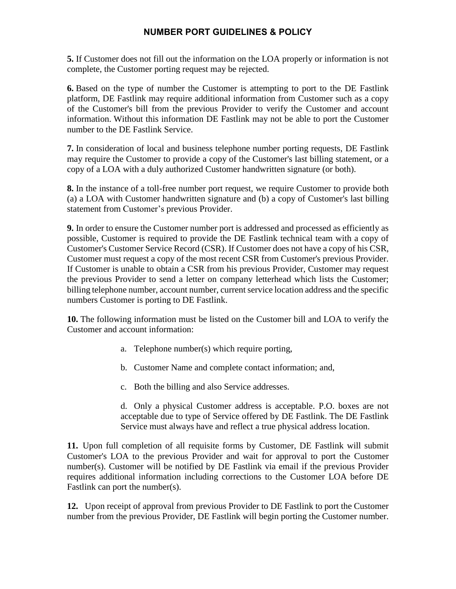**5.** If Customer does not fill out the information on the LOA properly or information is not complete, the Customer porting request may be rejected.

**6.** Based on the type of number the Customer is attempting to port to the DE Fastlink platform, DE Fastlink may require additional information from Customer such as a copy of the Customer's bill from the previous Provider to verify the Customer and account information. Without this information DE Fastlink may not be able to port the Customer number to the DE Fastlink Service.

**7.** In consideration of local and business telephone number porting requests, DE Fastlink may require the Customer to provide a copy of the Customer's last billing statement, or a copy of a LOA with a duly authorized Customer handwritten signature (or both).

**8.** In the instance of a toll-free number port request, we require Customer to provide both (a) a LOA with Customer handwritten signature and (b) a copy of Customer's last billing statement from Customer's previous Provider.

**9.** In order to ensure the Customer number port is addressed and processed as efficiently as possible, Customer is required to provide the DE Fastlink technical team with a copy of Customer's Customer Service Record (CSR). If Customer does not have a copy of his CSR, Customer must request a copy of the most recent CSR from Customer's previous Provider. If Customer is unable to obtain a CSR from his previous Provider, Customer may request the previous Provider to send a letter on company letterhead which lists the Customer; billing telephone number, account number, current service location address and the specific numbers Customer is porting to DE Fastlink.

**10.** The following information must be listed on the Customer bill and LOA to verify the Customer and account information:

- a. Telephone number(s) which require porting,
- b. Customer Name and complete contact information; and,
- c. Both the billing and also Service addresses.

d. Only a physical Customer address is acceptable. P.O. boxes are not acceptable due to type of Service offered by DE Fastlink. The DE Fastlink Service must always have and reflect a true physical address location.

**11.** Upon full completion of all requisite forms by Customer, DE Fastlink will submit Customer's LOA to the previous Provider and wait for approval to port the Customer number(s). Customer will be notified by DE Fastlink via email if the previous Provider requires additional information including corrections to the Customer LOA before DE Fastlink can port the number(s).

**12.** Upon receipt of approval from previous Provider to DE Fastlink to port the Customer number from the previous Provider, DE Fastlink will begin porting the Customer number.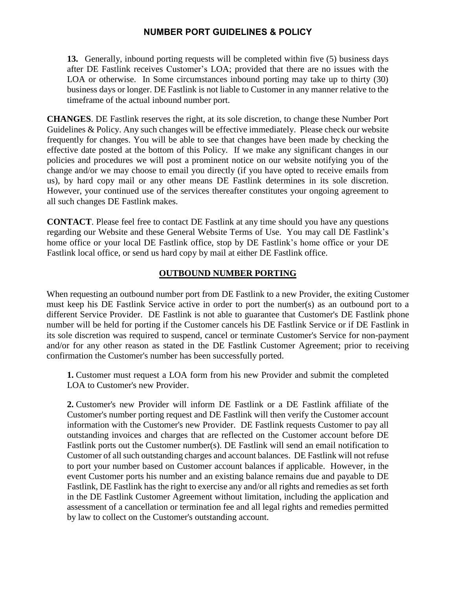**13.** Generally, inbound porting requests will be completed within five (5) business days after DE Fastlink receives Customer's LOA; provided that there are no issues with the LOA or otherwise. In Some circumstances inbound porting may take up to thirty (30) business days or longer. DE Fastlink is not liable to Customer in any manner relative to the timeframe of the actual inbound number port.

**CHANGES**. DE Fastlink reserves the right, at its sole discretion, to change these Number Port Guidelines & Policy. Any such changes will be effective immediately. Please check our website frequently for changes. You will be able to see that changes have been made by checking the effective date posted at the bottom of this Policy. If we make any significant changes in our policies and procedures we will post a prominent notice on our website notifying you of the change and/or we may choose to email you directly (if you have opted to receive emails from us), by hard copy mail or any other means DE Fastlink determines in its sole discretion. However, your continued use of the services thereafter constitutes your ongoing agreement to all such changes DE Fastlink makes.

**CONTACT**. Please feel free to contact DE Fastlink at any time should you have any questions regarding our Website and these General Website Terms of Use. You may call DE Fastlink's home office or your local DE Fastlink office, stop by DE Fastlink's home office or your DE Fastlink local office, or send us hard copy by mail at either DE Fastlink office.

#### **OUTBOUND NUMBER PORTING**

When requesting an outbound number port from DE Fastlink to a new Provider, the exiting Customer must keep his DE Fastlink Service active in order to port the number(s) as an outbound port to a different Service Provider. DE Fastlink is not able to guarantee that Customer's DE Fastlink phone number will be held for porting if the Customer cancels his DE Fastlink Service or if DE Fastlink in its sole discretion was required to suspend, cancel or terminate Customer's Service for non-payment and/or for any other reason as stated in the DE Fastlink Customer Agreement; prior to receiving confirmation the Customer's number has been successfully ported.

**1.** Customer must request a LOA form from his new Provider and submit the completed LOA to Customer's new Provider.

**2.** Customer's new Provider will inform DE Fastlink or a DE Fastlink affiliate of the Customer's number porting request and DE Fastlink will then verify the Customer account information with the Customer's new Provider. DE Fastlink requests Customer to pay all outstanding invoices and charges that are reflected on the Customer account before DE Fastlink ports out the Customer number(s). DE Fastlink will send an email notification to Customer of all such outstanding charges and account balances. DE Fastlink will not refuse to port your number based on Customer account balances if applicable. However, in the event Customer ports his number and an existing balance remains due and payable to DE Fastlink, DE Fastlink has the right to exercise any and/or all rights and remedies as set forth in the DE Fastlink Customer Agreement without limitation, including the application and assessment of a cancellation or termination fee and all legal rights and remedies permitted by law to collect on the Customer's outstanding account.